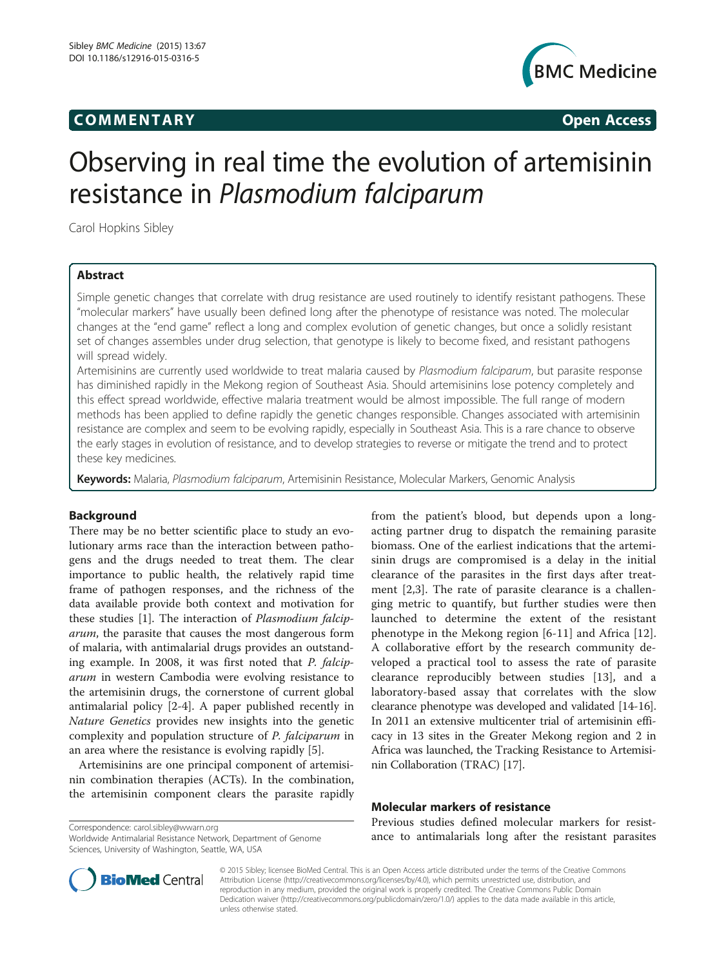## COMM EN TARY Open Access



# Observing in real time the evolution of artemisinin resistance in Plasmodium falciparum

Carol Hopkins Sibley

## Abstract

Simple genetic changes that correlate with drug resistance are used routinely to identify resistant pathogens. These "molecular markers" have usually been defined long after the phenotype of resistance was noted. The molecular changes at the "end game" reflect a long and complex evolution of genetic changes, but once a solidly resistant set of changes assembles under drug selection, that genotype is likely to become fixed, and resistant pathogens will spread widely.

Artemisinins are currently used worldwide to treat malaria caused by Plasmodium falciparum, but parasite response has diminished rapidly in the Mekong region of Southeast Asia. Should artemisinins lose potency completely and this effect spread worldwide, effective malaria treatment would be almost impossible. The full range of modern methods has been applied to define rapidly the genetic changes responsible. Changes associated with artemisinin resistance are complex and seem to be evolving rapidly, especially in Southeast Asia. This is a rare chance to observe the early stages in evolution of resistance, and to develop strategies to reverse or mitigate the trend and to protect these key medicines.

Keywords: Malaria, Plasmodium falciparum, Artemisinin Resistance, Molecular Markers, Genomic Analysis

### Background

There may be no better scientific place to study an evolutionary arms race than the interaction between pathogens and the drugs needed to treat them. The clear importance to public health, the relatively rapid time frame of pathogen responses, and the richness of the data available provide both context and motivation for these studies [[1](#page-2-0)]. The interaction of Plasmodium falciparum, the parasite that causes the most dangerous form of malaria, with antimalarial drugs provides an outstanding example. In 2008, it was first noted that P. falciparum in western Cambodia were evolving resistance to the artemisinin drugs, the cornerstone of current global antimalarial policy [[2-4](#page-2-0)]. A paper published recently in Nature Genetics provides new insights into the genetic complexity and population structure of P. falciparum in an area where the resistance is evolving rapidly [[5\]](#page-2-0).

Artemisinins are one principal component of artemisinin combination therapies (ACTs). In the combination, the artemisinin component clears the parasite rapidly

Worldwide Antimalarial Resistance Network, Department of Genome Sciences, University of Washington, Seattle, WA, USA



## Molecular markers of resistance

Previous studies defined molecular markers for resistance to antimalarials long after the resistant parasites Correspondence: [carol.sibley@wwarn.org](mailto:carol.sibley@wwarn.org)



© 2015 Sibley; licensee BioMed Central. This is an Open Access article distributed under the terms of the Creative Commons Attribution License (<http://creativecommons.org/licenses/by/4.0>), which permits unrestricted use, distribution, and reproduction in any medium, provided the original work is properly credited. The Creative Commons Public Domain Dedication waiver [\(http://creativecommons.org/publicdomain/zero/1.0/](http://creativecommons.org/publicdomain/zero/1.0/)) applies to the data made available in this article, unless otherwise stated.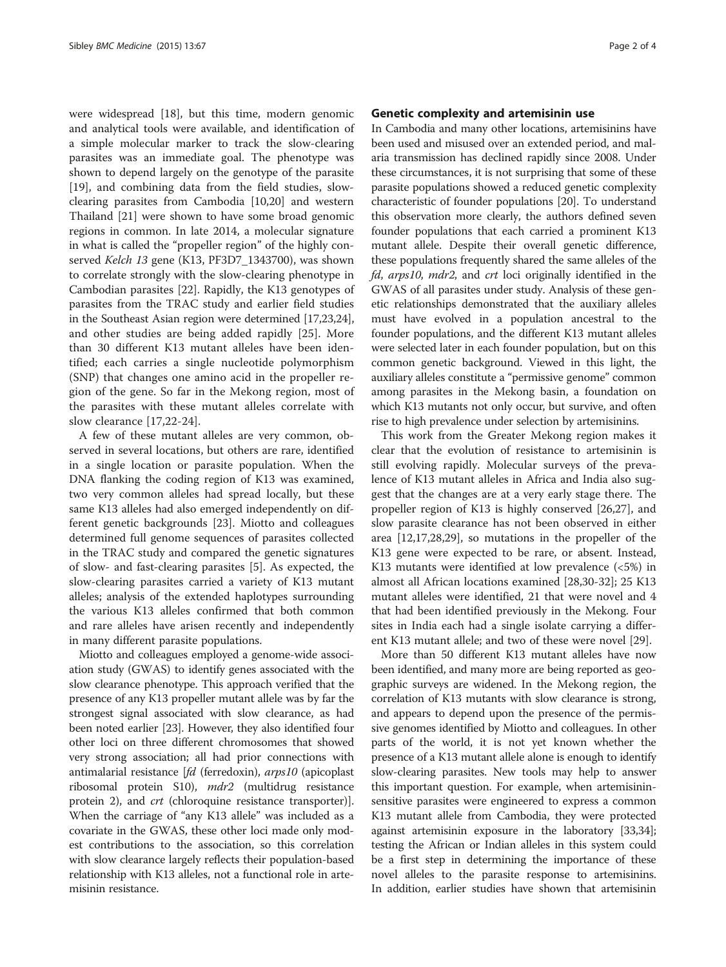were widespread [[18\]](#page-3-0), but this time, modern genomic and analytical tools were available, and identification of a simple molecular marker to track the slow-clearing parasites was an immediate goal. The phenotype was shown to depend largely on the genotype of the parasite [[19\]](#page-3-0), and combining data from the field studies, slowclearing parasites from Cambodia [[10,](#page-2-0)[20\]](#page-3-0) and western Thailand [[21\]](#page-3-0) were shown to have some broad genomic regions in common. In late 2014, a molecular signature in what is called the "propeller region" of the highly conserved Kelch 13 gene (K13, PF3D7\_1343700), was shown to correlate strongly with the slow-clearing phenotype in Cambodian parasites [[22\]](#page-3-0). Rapidly, the K13 genotypes of parasites from the TRAC study and earlier field studies in the Southeast Asian region were determined [\[17,23,24](#page-3-0)], and other studies are being added rapidly [[25\]](#page-3-0). More than 30 different K13 mutant alleles have been identified; each carries a single nucleotide polymorphism (SNP) that changes one amino acid in the propeller region of the gene. So far in the Mekong region, most of the parasites with these mutant alleles correlate with slow clearance [\[17](#page-3-0),[22-24](#page-3-0)].

A few of these mutant alleles are very common, observed in several locations, but others are rare, identified in a single location or parasite population. When the DNA flanking the coding region of K13 was examined, two very common alleles had spread locally, but these same K13 alleles had also emerged independently on different genetic backgrounds [[23\]](#page-3-0). Miotto and colleagues determined full genome sequences of parasites collected in the TRAC study and compared the genetic signatures of slow- and fast-clearing parasites [[5\]](#page-2-0). As expected, the slow-clearing parasites carried a variety of K13 mutant alleles; analysis of the extended haplotypes surrounding the various K13 alleles confirmed that both common and rare alleles have arisen recently and independently in many different parasite populations.

Miotto and colleagues employed a genome-wide association study (GWAS) to identify genes associated with the slow clearance phenotype. This approach verified that the presence of any K13 propeller mutant allele was by far the strongest signal associated with slow clearance, as had been noted earlier [\[23\]](#page-3-0). However, they also identified four other loci on three different chromosomes that showed very strong association; all had prior connections with antimalarial resistance [fd (ferredoxin), arps10 (apicoplast ribosomal protein S10), mdr2 (multidrug resistance protein 2), and *crt* (chloroquine resistance transporter)]. When the carriage of "any K13 allele" was included as a covariate in the GWAS, these other loci made only modest contributions to the association, so this correlation with slow clearance largely reflects their population-based relationship with K13 alleles, not a functional role in artemisinin resistance.

#### Genetic complexity and artemisinin use

In Cambodia and many other locations, artemisinins have been used and misused over an extended period, and malaria transmission has declined rapidly since 2008. Under these circumstances, it is not surprising that some of these parasite populations showed a reduced genetic complexity characteristic of founder populations [\[20\]](#page-3-0). To understand this observation more clearly, the authors defined seven founder populations that each carried a prominent K13 mutant allele. Despite their overall genetic difference, these populations frequently shared the same alleles of the fd, arps10, mdr2, and crt loci originally identified in the GWAS of all parasites under study. Analysis of these genetic relationships demonstrated that the auxiliary alleles must have evolved in a population ancestral to the founder populations, and the different K13 mutant alleles were selected later in each founder population, but on this common genetic background. Viewed in this light, the auxiliary alleles constitute a "permissive genome" common among parasites in the Mekong basin, a foundation on which K13 mutants not only occur, but survive, and often rise to high prevalence under selection by artemisinins.

This work from the Greater Mekong region makes it clear that the evolution of resistance to artemisinin is still evolving rapidly. Molecular surveys of the prevalence of K13 mutant alleles in Africa and India also suggest that the changes are at a very early stage there. The propeller region of K13 is highly conserved [[26,27\]](#page-3-0), and slow parasite clearance has not been observed in either area [\[12,](#page-2-0)[17,28,29\]](#page-3-0), so mutations in the propeller of the K13 gene were expected to be rare, or absent. Instead, K13 mutants were identified at low prevalence (<5%) in almost all African locations examined [[28,30-32](#page-3-0)]; 25 K13 mutant alleles were identified, 21 that were novel and 4 that had been identified previously in the Mekong. Four sites in India each had a single isolate carrying a different K13 mutant allele; and two of these were novel [[29\]](#page-3-0).

More than 50 different K13 mutant alleles have now been identified, and many more are being reported as geographic surveys are widened. In the Mekong region, the correlation of K13 mutants with slow clearance is strong, and appears to depend upon the presence of the permissive genomes identified by Miotto and colleagues. In other parts of the world, it is not yet known whether the presence of a K13 mutant allele alone is enough to identify slow-clearing parasites. New tools may help to answer this important question. For example, when artemisininsensitive parasites were engineered to express a common K13 mutant allele from Cambodia, they were protected against artemisinin exposure in the laboratory [\[33,34](#page-3-0)]; testing the African or Indian alleles in this system could be a first step in determining the importance of these novel alleles to the parasite response to artemisinins. In addition, earlier studies have shown that artemisinin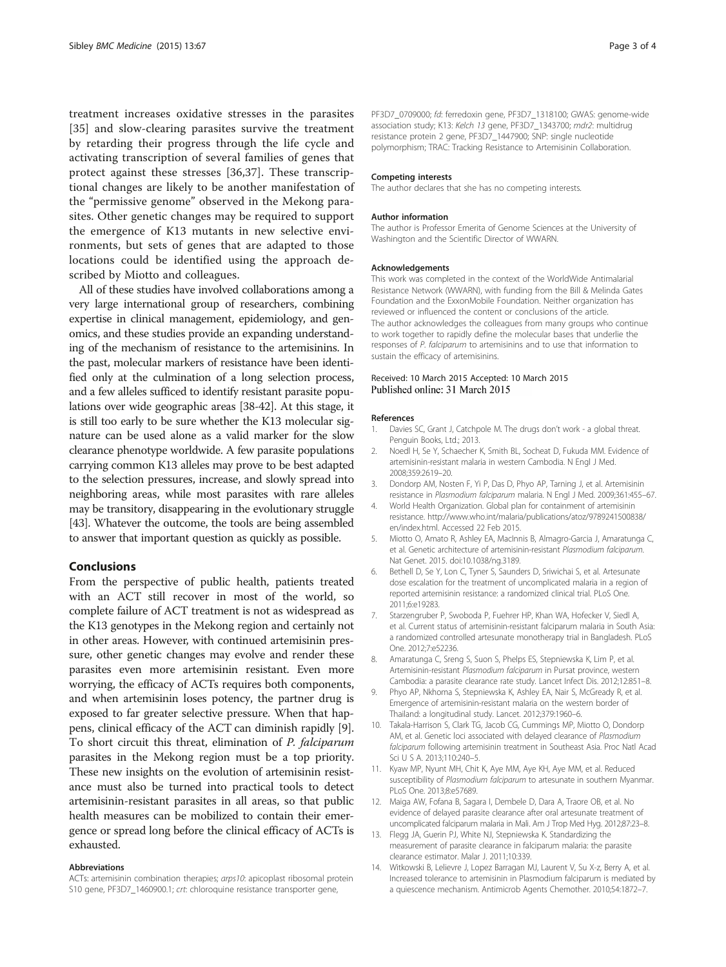<span id="page-2-0"></span>treatment increases oxidative stresses in the parasites [[35\]](#page-3-0) and slow-clearing parasites survive the treatment by retarding their progress through the life cycle and activating transcription of several families of genes that protect against these stresses [[36,37](#page-3-0)]. These transcriptional changes are likely to be another manifestation of the "permissive genome" observed in the Mekong parasites. Other genetic changes may be required to support the emergence of K13 mutants in new selective environments, but sets of genes that are adapted to those locations could be identified using the approach described by Miotto and colleagues.

All of these studies have involved collaborations among a very large international group of researchers, combining expertise in clinical management, epidemiology, and genomics, and these studies provide an expanding understanding of the mechanism of resistance to the artemisinins. In the past, molecular markers of resistance have been identified only at the culmination of a long selection process, and a few alleles sufficed to identify resistant parasite populations over wide geographic areas [[38-42\]](#page-3-0). At this stage, it is still too early to be sure whether the K13 molecular signature can be used alone as a valid marker for the slow clearance phenotype worldwide. A few parasite populations carrying common K13 alleles may prove to be best adapted to the selection pressures, increase, and slowly spread into neighboring areas, while most parasites with rare alleles may be transitory, disappearing in the evolutionary struggle [[43](#page-3-0)]. Whatever the outcome, the tools are being assembled to answer that important question as quickly as possible.

#### Conclusions

From the perspective of public health, patients treated with an ACT still recover in most of the world, so complete failure of ACT treatment is not as widespread as the K13 genotypes in the Mekong region and certainly not in other areas. However, with continued artemisinin pressure, other genetic changes may evolve and render these parasites even more artemisinin resistant. Even more worrying, the efficacy of ACTs requires both components, and when artemisinin loses potency, the partner drug is exposed to far greater selective pressure. When that happens, clinical efficacy of the ACT can diminish rapidly [9]. To short circuit this threat, elimination of P. falciparum parasites in the Mekong region must be a top priority. These new insights on the evolution of artemisinin resistance must also be turned into practical tools to detect artemisinin-resistant parasites in all areas, so that public health measures can be mobilized to contain their emergence or spread long before the clinical efficacy of ACTs is exhausted.

#### Abbreviations

ACTs: artemisinin combination therapies; arps10: apicoplast ribosomal protein S10 gene, PF3D7\_1460900.1; crt: chloroquine resistance transporter gene,

PF3D7\_0709000; fd: ferredoxin gene, PF3D7\_1318100; GWAS: genome-wide association study; K13: Kelch 13 gene, PF3D7 1343700; mdr2: multidrug resistance protein 2 gene, PF3D7\_1447900; SNP: single nucleotide polymorphism; TRAC: Tracking Resistance to Artemisinin Collaboration.

#### Competing interests

The author declares that she has no competing interests.

#### Author information

The author is Professor Emerita of Genome Sciences at the University of Washington and the Scientific Director of WWARN.

#### Acknowledgements

This work was completed in the context of the WorldWide Antimalarial Resistance Network (WWARN), with funding from the Bill & Melinda Gates Foundation and the ExxonMobile Foundation. Neither organization has reviewed or influenced the content or conclusions of the article. The author acknowledges the colleagues from many groups who continue to work together to rapidly define the molecular bases that underlie the responses of P. falciparum to artemisinins and to use that information to sustain the efficacy of artemisinins.

#### Received: 10 March 2015 Accepted: 10 March 2015 Published online: 31 March 2015

#### References

- 1. Davies SC, Grant J, Catchpole M. The drugs don't work a global threat. Penguin Books, Ltd.; 2013.
- 2. Noedl H, Se Y, Schaecher K, Smith BL, Socheat D, Fukuda MM. Evidence of artemisinin-resistant malaria in western Cambodia. N Engl J Med. 2008;359:2619–20.
- 3. Dondorp AM, Nosten F, Yi P, Das D, Phyo AP, Tarning J, et al. Artemisinin resistance in Plasmodium falciparum malaria. N Engl J Med. 2009;361:455–67.
- 4. World Health Organization. Global plan for containment of artemisinin resistance. [http://www.who.int/malaria/publications/atoz/9789241500838/](http://www.who.int/malaria/publications/atoz/9789241500838/en/index.html) [en/index.html](http://www.who.int/malaria/publications/atoz/9789241500838/en/index.html). Accessed 22 Feb 2015.
- 5. Miotto O, Amato R, Ashley EA, MacInnis B, Almagro-Garcia J, Amaratunga C, et al. Genetic architecture of artemisinin-resistant Plasmodium falciparum. Nat Genet. 2015. doi:10.1038/ng.3189.
- 6. Bethell D, Se Y, Lon C, Tyner S, Saunders D, Sriwichai S, et al. Artesunate dose escalation for the treatment of uncomplicated malaria in a region of reported artemisinin resistance: a randomized clinical trial. PLoS One. 2011;6:e19283.
- 7. Starzengruber P, Swoboda P, Fuehrer HP, Khan WA, Hofecker V, Siedl A, et al. Current status of artemisinin-resistant falciparum malaria in South Asia: a randomized controlled artesunate monotherapy trial in Bangladesh. PLoS One. 2012;7:e52236.
- 8. Amaratunga C, Sreng S, Suon S, Phelps ES, Stepniewska K, Lim P, et al. Artemisinin-resistant Plasmodium falciparum in Pursat province, western Cambodia: a parasite clearance rate study. Lancet Infect Dis. 2012;12:851–8.
- 9. Phyo AP, Nkhoma S, Stepniewska K, Ashley EA, Nair S, McGready R, et al. Emergence of artemisinin-resistant malaria on the western border of Thailand: a longitudinal study. Lancet. 2012;379:1960–6.
- 10. Takala-Harrison S, Clark TG, Jacob CG, Cummings MP, Miotto O, Dondorp AM, et al. Genetic loci associated with delayed clearance of Plasmodium falciparum following artemisinin treatment in Southeast Asia. Proc Natl Acad Sci U S A. 2013;110:240–5.
- 11. Kyaw MP, Nyunt MH, Chit K, Aye MM, Aye KH, Aye MM, et al. Reduced susceptibility of Plasmodium falciparum to artesunate in southern Myanmar. PLoS One. 2013;8:e57689.
- 12. Maiga AW, Fofana B, Sagara I, Dembele D, Dara A, Traore OB, et al. No evidence of delayed parasite clearance after oral artesunate treatment of uncomplicated falciparum malaria in Mali. Am J Trop Med Hyg. 2012;87:23–8.
- 13. Flegg JA, Guerin PJ, White NJ, Stepniewska K. Standardizing the measurement of parasite clearance in falciparum malaria: the parasite clearance estimator. Malar J. 2011;10:339.
- 14. Witkowski B, Lelievre J, Lopez Barragan MJ, Laurent V, Su X-z, Berry A, et al. Increased tolerance to artemisinin in Plasmodium falciparum is mediated by a quiescence mechanism. Antimicrob Agents Chemother. 2010;54:1872–7.